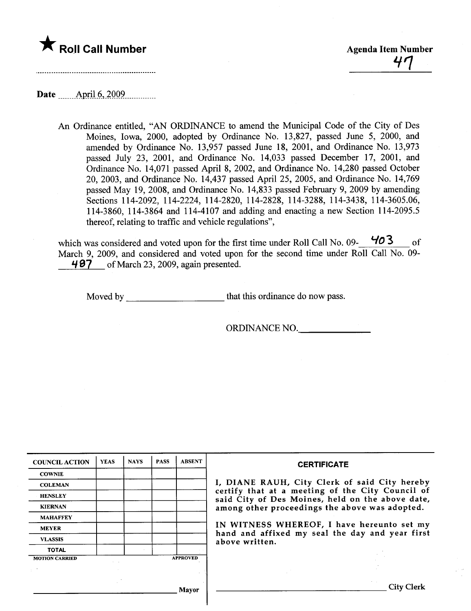

# Date \_\_\_\_\_\_AmjJ\_n-.\_~QQ9.\_\_\_\_\_\_..\_\_\_

An Ordinance entitled, "AN ORDINANCE to amend the Municipal Code of the City of Des Moines, Iowa, 2000, adopted by Ordinance No. 13,827, passed June 5, 2000, and amended by Ordinance No. 13,957 passed June 18, 2001, and Ordinance No. 13,973 passed July 23, 2001, and Ordinance No. 14,033 passed December 17, 2001, and Ordinance No. 14,071 passed April 8, 2002, and Ordinance No. 14,280 passed October 20, 2003, and Ordinance No. 14,437 passed April 25, 2005, and Ordinance No. 14,769 passed May 19,2008, and Ordinance No. 14,833 passed February 9, 2009 by amending Sections 114-2092, 114-2224, 114-2820, 114-2828, 114-3288, 114-3438, 114-3605.06, 114-3860, 114-3864 and 114-4107 and adding and enacting a new Section 114-2095.5 thereof, relating to traffic and vehicle regulations",

which was considered and voted upon for the first time under Roll Call No. 09-  $403$  of March 9, 2009, and considered and voted upon for the second time under Roll Call No. 09-497 of March 23, 2009, again presented.

Moved by that this ordinance do now pass.

ORDINANCE NO.

| <b>COUNCIL ACTION</b> | <b>YEAS</b> | <b>NAYS</b> | <b>PASS</b> | <b>ABSENT</b>   | <b>CERTIFICATE</b>                                                                                   |  |  |  |  |
|-----------------------|-------------|-------------|-------------|-----------------|------------------------------------------------------------------------------------------------------|--|--|--|--|
| <b>COWNIE</b>         |             |             |             |                 |                                                                                                      |  |  |  |  |
| <b>COLEMAN</b>        |             |             |             |                 | I, DIANE RAUH, City Clerk of said City hereby                                                        |  |  |  |  |
| <b>HENSLEY</b>        |             |             |             |                 | certify that at a meeting of the City Council of<br>said City of Des Moines, held on the above date, |  |  |  |  |
| <b>KIERNAN</b>        |             |             |             |                 | among other proceedings the above was adopted.                                                       |  |  |  |  |
| <b>MAHAFFEY</b>       |             |             |             |                 |                                                                                                      |  |  |  |  |
| <b>MEYER</b>          |             |             |             |                 | IN WITNESS WHEREOF, I have hereunto set my<br>hand and affixed my seal the day and year first        |  |  |  |  |
| <b>VLASSIS</b>        |             |             |             |                 | above written.                                                                                       |  |  |  |  |
| <b>TOTAL</b>          |             |             |             |                 |                                                                                                      |  |  |  |  |
| <b>MOTION CARRIED</b> |             |             |             | <b>APPROVED</b> |                                                                                                      |  |  |  |  |
|                       |             |             |             |                 |                                                                                                      |  |  |  |  |
|                       |             |             |             | Mayor           | <b>City Clerk</b>                                                                                    |  |  |  |  |
|                       |             |             |             |                 |                                                                                                      |  |  |  |  |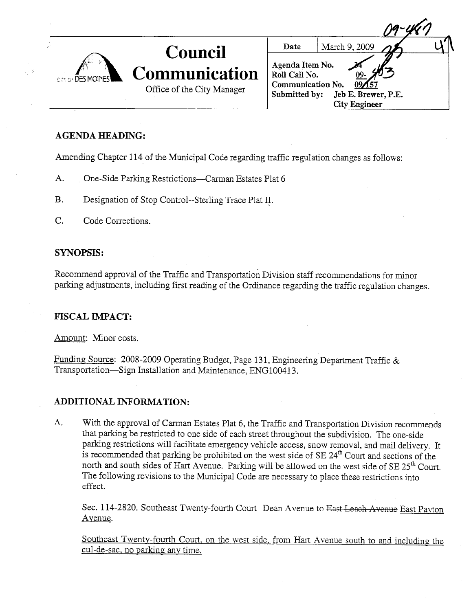| CITY OF DES MOINER | <b>Council</b>                                     | Date                                                                   | March 9, 2009                               |  |
|--------------------|----------------------------------------------------|------------------------------------------------------------------------|---------------------------------------------|--|
|                    | <b>Communication</b><br>Office of the City Manager | Agenda Item No.<br>Roll Call No.<br>Communication No.<br>Submitted by: | Jeb E. Brewer, P.E.<br><b>City Engineer</b> |  |

# AGENDA HEADING:

l og

Amending Chapter 114 of the Municipal Code regarding traffic regulation changes as follows:

- A. One-Side Parking Restrictions--Carman Estates Plat 6
- B. Designation of Stop Control--Sterling Trace Plat II.
- C. Code Corrections.

# SYNOPSIS:

Recommend approval of the Traffic and Transportation Division staff recommendations for minor parking adjustments, including first reading of the Ordinance regarding the trafic regulation changes.

# **FISCAL IMPACT:**

Amount: Minor costs.

Funding Source: 2008-2009 Operating Budget, Page 131, Engineering Department Traffic & Transportation-Sign Installation and Maintenance, ENG100413.

### ADDITIONAL INFORMATION:

A. With the approval of Carman Estates Plat 6, the Traffic and Transportation Division recommends that parking be restricted to one side of each street throughout the subdivision. The one-side parking restrictions will facilitate emergency vehicle access, snow removal, and mail delivery. It is recommended that parking be prohibited on the west side of  $SE 24<sup>th</sup>$  Court and sections of the north and south sides of Hart Avenue. Parking will be allowed on the west side of SE 25<sup>th</sup> Court. The following revisions to the Municipal Code are necessary to place these restrictions into effect.

Sec. 114-2820. Southeast Twenty-fourth Court--Dean Avenue to East Leach Avenue East Payton A venue.

Southeast Twenty-fourth Court, on the west side, from Hart Avenue south to and including the cul-de-sac. no parking anv time.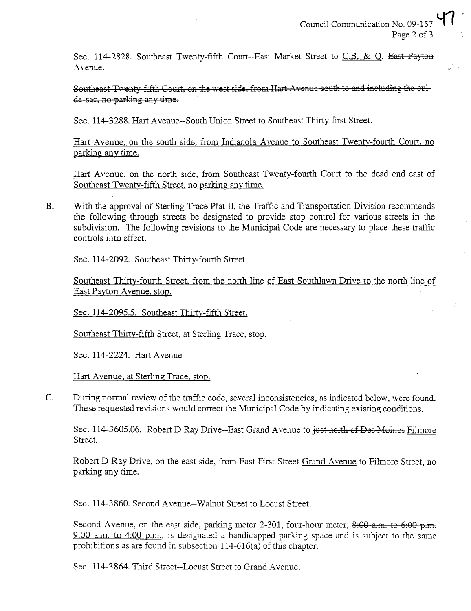Sec. 114-2828. Southeast Twenty-fifth Court--East Market Street to C.B. & Q. East Payton Avenue.

Southeast Twenty fifth Court, on the west side, from Hart Avenue south to and including the culde-sac, no parking any time.

Sec. 114-3288. Hart Avenue--South Union Street to Southeast Thirty-first Street.

Hart Avenue, on the south side, from Indianola Avenue to Southeast Twenty-fourth Court, no parking any time.

Hart Avenue, on the north side, from Southeast Twenty-fourth Court to the dead end east of Southeast Twentv-fifth Street. no parking any time.

B. With the approval of Sterling Trace Plat II, the Trafic and Transportation Division recommends the following through streets be designated to provide stop control for various streets in the subdivision. The following revisions to the Municipal Code are necessary to place these traffic controls into effect.

Sec. 114-2092. Southeast Thiry-fourth Street.

Southeast Thirty-fourth Street, from the north line of East Southlawn Drive to the north line of East Payton Avenue. stop.

Sec. 114-2095.5. Southeast Thirty-fifth Street.

Southeast Thirty-fifth Street. at Sterling Trace, stop.

Sec. 114-2224. Hart Avenue

Hart Avenue, at Sterling Trace, stop.

C. During normal review of the traffic code, several inconsistencies, as indicated below, were found. These requested revisions would correct the Municipal Code by indicating existing conditions.

Sec. 114-3605.06. Robert D Ray Drive--East Grand Avenue to just north of Des-Moines Filmore Street.

Robert D Ray Drive, on the east side, from East First Street Grand Avenue to Filmore Street, no parking anytime.

Sec. 114-3860. Second Avenue--Walnut Street to Locust Street.

Second Avenue, on the east side, parking meter 2-301, four-hour meter, 8:00 a.m. to 6:00 p.m. 9:00 a.m. to 4:00 p.m., is designated a handicapped parking space and is subject to the same prohibitions as are found in subsection 1 14-616(a) of this chapter.

Sec. 114-3864. Third Street--Locust Street to Grand Avenue.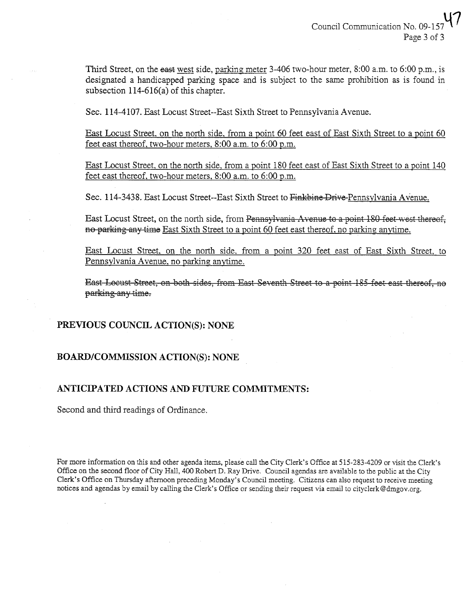Third Street, on the east west side, parking meter 3-406 two-hour meter, 8:00 a.m. to 6:00 p.m., is designated a handicapped parking space and is subject to the same prohibition as is found in subsection  $114-616(a)$  of this chapter.

Sec. 114-4107. East Locust Street--East Sixth Street to Pennsylvania Avenue.

East Locust Street, on the north side, from a point 60 feet east of East Sixth Street to a point 60 feet east thereof. two-hour meters. 8:00 a.m. to 6:00 p.m.

East Locust Street. on the north side. from a point 180 feet east of East Sixth Street to a point 140 feet east thereof. two-hour meters. 8:00 a.m. to 6:00 p.m.

Sec. 114-3438. East Locust Street--East Sixth Street to Finkbine Drive-Pennsvlvania Avenue.

East Locust Street, on the north side, from Pennsylvania Avenue to a point 180 feet west thereof, no parking any time East Sixth Street to a point 60 feet east thereof, no parking anytime.

East Locust Street. on the north side. from a point 320 feet east of East Sixth Street. to Pennsylvania Avenue. no parking anytime.

East Locust Street, on both sides, from East Seventh Street to a point 185 feet east thereof, no parking any time.

# PREVIOUS COUNCIL ACTION(S): NONE

### BOARD/COMMSSION ACTION(S): NONE

### ANTICIPATED ACTIONS AND FUTURE COMMITMENTS:

Second and third readings of Ordinance.

For more information on this and other agenda items, please call the City Clerk's Office at 515-283-4209 or visit the Clerk's Offce on the second floor of City Hall, 400 Robert D. Ray Drive. Council agendas are available to the public at the City Clerk's Office on Thursday afternoon preceding Monday's Council meeting. Citizens can also request to receive meeting notices and agendas by email by calling the Clerk's Office or sending their request via email to cityclerk@dmgov.org.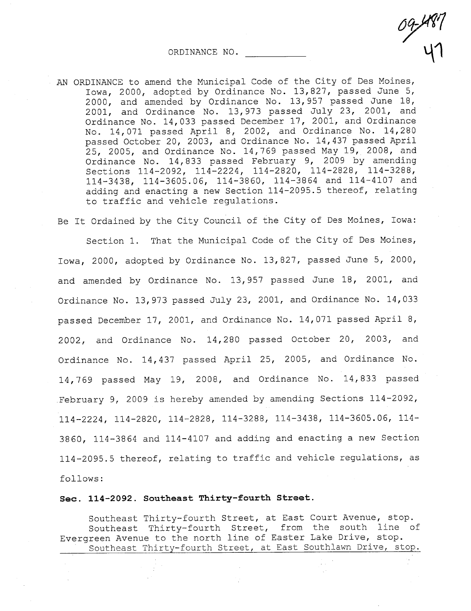ORDINANCE NO. ~1

AN ORDINANCE to amend the Municipal Code of the City of Des Moines, Iowa, 2000, adopted by Ordinance No. 13,827, passed June 5, 2000, and amended by Ordinance No. 13,957 passed June 18, 2001, and Ordinance No. 13,973 passed July 23, 2001, and Ordinance No. 14,033 passed December 17, 2001, and Ordinance No. 14,071 passed April 8, 2002, and Ordinance No. 14,280 passed October 20, 2003, and Ordinance No. 14,437 passed April 25, 2005, and Ordinance No. 14,769 passed May 19, 2008, and Ordinance No. 14,833 passed February 9, 2009 by amending Sections 114-2092, 114-2224, 114-2820, 114-2828, 114-3288, 114-3438, 114-3605.06, 114-3860, 114-3864 and 114-4107 and adding and enacting a new Section 114-2095.5 thereof, relating to traffic and vehicle regulations.

 $\frac{1}{1}$ <sup>1</sup>

Be It Ordained by the City Council of the City of Des Moines, Iowa: Section 1. That the Municipal Code of the City of Des Moines, Iowa, 2000, adopted by Ordinance No. 13,827, passed June 5, 2000, and amended by Ordinance No. 13,957 passed June 18, 2001, and Ordinance No. 13,973 passed July 23, 2001, and Ordinance No. 14,033 passed December 17, 2001, and Ordinance No. 14,071 passed April 8, 2002, and Ordinance No. 14,280 passed October 20, 2003, and Ordinance No. 14,437 passed April 25, 2005, and Ordinance No. 14,769 passed May 19, 2008, and Ordinance No. 14,833 passed February 9, 2009 is hereby amended by amending Sections 114-2092, 114-2224,114-2820,114-2828,114-3288, 114-3438, 114-3605.06, 114- 3860, 114-3864 and 114-4107 and adding and enacting a new Section 114-2095.5 thereof, relating to traffic and vehicle regulations, as follows:

#### See. 114-2092. Southeast Thirty-fourth Street.

Southeast Thirty-fourth Street, at East Court Avenue, stop. Southeast Thirty-fourth Street, from the south line of Evergreen Avenue to the north line of Easter Lake Drive, stop. Southeast Thirty-fourth Street, at East Southlawn Drive, stop.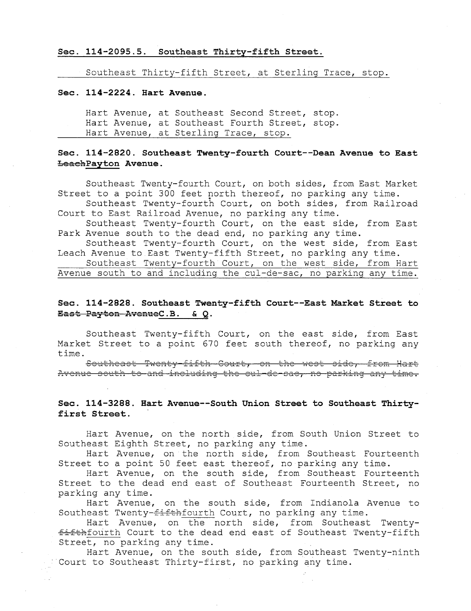#### Sec. 114-2095.5. Southeast Thirty-fifth Street.

Southeast Thirty-fifth Street, at Sterling Trace, stop.

#### Sec. 114-2224. Hart Avenue.

Hart Avenue, at Southeast Second Street, stop. Hart Avenue, at Southeast Fourth Street, stop. Hart Avenue, at Sterling Trace, stop.

# Sec. 114-2820. Southeast Twenty-fourth Court--Dean Avenue to East LeachPayton Avenue.

Southeast Twenty-fourth Court, on both sides, from East Market Street to a point 300 feet north thereof, no parking any time.

Southeast Twenty-fourth Court, on both sides, from Railroad Court to East Railroad Avenue, no parking any time.

Southeast Twenty-fourth Court, on the east side, from East Park Avenue south to the dead end, no parking any time.

Southeast Twenty-fourth Court, on the west side, from East Leach Avenue to East Twenty-fifth Street, no parking any time.

Southeast Twenty-fourth Court, on the west side, from Hart Avenue south to and including the cul-de-sac, no parking any time.

### Sec. 114-2828. Southeast Twenty-fifth Court--East Market Street to East Payton AvenueC. B. & Q.

Southeast Twenty-fifth Court, on the east side, from East Market Street to a point 670 feet south thereof, no parking any time.

.<br>Southeast Twenty-fifth Court, on the west side, from Hart Avenue south to and including the cul-de-sae, no parking any time

#### Sec. 114-3288. Hart Avenue--South Union Street to Southeast Thirtyfirst Street.

Hart Avenue, on the north side, from South Union Street to Southeast Eighth Street, no parking any time.

Hart Avenue, on the north side, from Southeast Fourteenth Street to a point 50 feet east thereof, no parking any time.

Hart Avenue, on the south side, from Southeast Fourteenth Street to the dead end east of Southeast Fourteenth Street, no parking any time.

Hart Avenue, on the south side, from Indianola Avenue to Southeast Twenty- $f$ ifthfourth Court, no parking any time.

Hart Avenue, on the north side, from Southeast Twentyfifthfourth Court to the dead end east of Southeast Twenty-fifth Street, no parking any time.

Hart Avenue, on the south side, from Southeast Twenty-ninth Court to Southeast Thirty-first, no parking any time.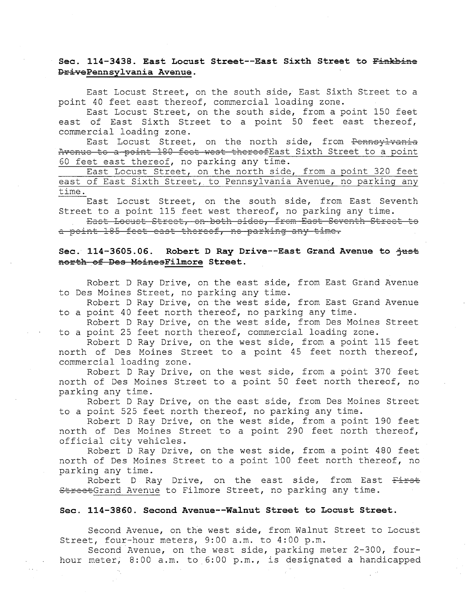# Sec. 114-3438. East Locust Street--East Sixth Street to Finkbine DrivePennsylvania Avenue.

East Locust Street, on the south side, East Sixth Street to a point 40 feet east thereof, commercial loading zone.

East Locust Street, on the south side, from a point 150 feet east of East Sixth Street to a point 50 feet east thereof, commercial loading zone.

East Locust Street, on the north side, from <del>Pennsylvania</del><br>Avenue to a point 180 feet west thereofEast Sixth Street to a point 60 feet east thereof, no parking any time.

East Locust Street, on the north side, from a point 320 feet east of East Sixth Street, to Pennsylvania Avenue, no parking any time.

East Locust Street, on the south side, from East Seventh Street to a point 115 feet west thereof, no parking any time.

a point 185 feet east thereof, ne parking any time. East Locust Street, on both sides, from East Seventh Street to

### Sec. 114-3605.06. Robert D Ray Drive--East Grand Avenue to  $\frac{1}{100}$ north of Des MoinesFilmore Street.

Robert D Ray Drive, on the east side, from East Grand Avenue to Des Moines Street, no parking any time.

Robert D Ray Drive, on the west side, from East Grand Avenue to a point 40 feet north thereof, no parking any time.

Robert D Ray Drive, on the west side, from Des Moines Street to a point 25 feet north thereof, commercial loading zone.<br>Robert D Ray Drive, on the west side, from a point 115 feet

north of Des Moines Street to a point 45 feet north thereof, commercial loading zone.

Robert D Ray Drive, on the west side, from a point 370 feet north of Des Moines Street to a point 50 feet north thereof, no parking any time.

Robert D Ray Drive, on the east side, from Des Moines Street to a point 525 feet north thereof, no parking any time.

Robert D Ray Drive, on the west side, from a point 190 feet north of Des Moines Street to a point 290 feet north thereof, official city vehicles.

Robert D Ray Drive, on the west side, from a point 480 feet north of Des Moines Street to a point 100 feet north thereof, no

parking any time.<br>Robert D Ray Drive, on the east side, from East <del>First</del> StreetGrand Avenue to Filmore Street, no parking any time.

#### Sec. 114-3860. Second Avenue--Walnut Street to Locust Street.

Second Avenue, on the west side, from Walnut Street to Locust Street, four-hour meters, 9:00 a.m. to 4:00 p.m.

Second Avenue, on the west side, parking meter 2-300, fourhour meter, 8:00 a.m. to 6:00 p.m., is designated a handicapped